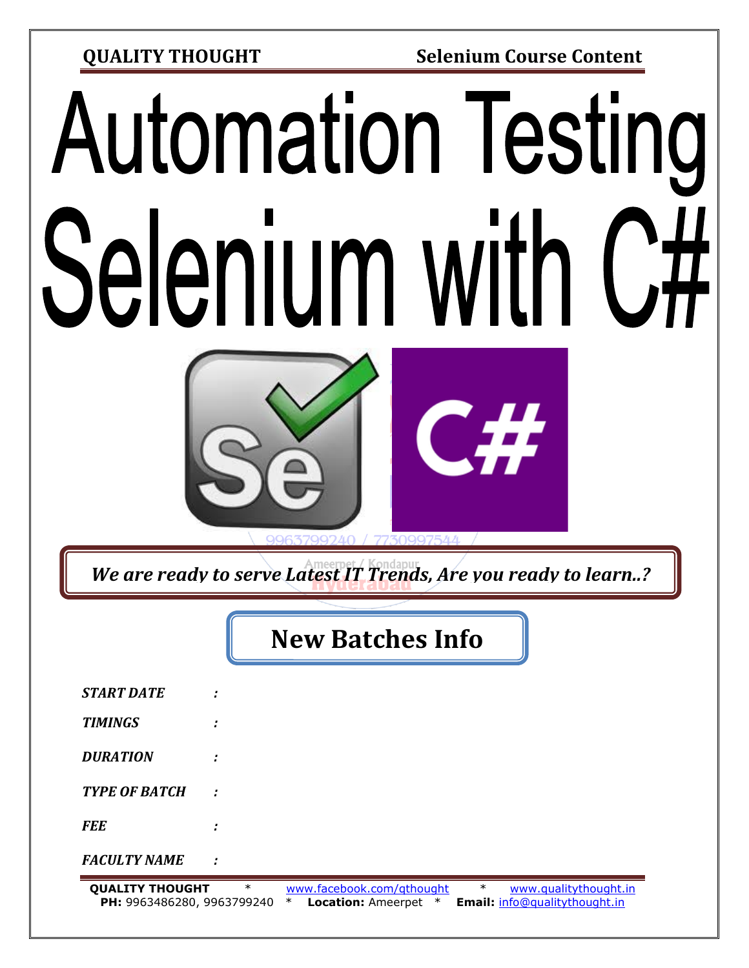**QUALITY THOUGHT Selenium Course Content**

# **Automation Testing** Selenium with



*We are ready to serve Latest IT Trends, Are you ready to learn..?*

# **New Batches Info**

| <b>OUALTTY THOUGHT</b> |   | $\ast$ | www.facebook.com/gthought | $\ast$ | www.qualitythought.in |
|------------------------|---|--------|---------------------------|--------|-----------------------|
| <b>FACULTY NAME</b>    | ÷ |        |                           |        |                       |
| <b>FEE</b>             | ٠ |        |                           |        |                       |
| <b>TYPE OF BATCH</b>   | ÷ |        |                           |        |                       |
| <b>DURATION</b>        |   |        |                           |        |                       |
| <b>TIMINGS</b>         | ٠ |        |                           |        |                       |
| <b>START DATE</b>      | ٠ |        |                           |        |                       |
|                        |   |        |                           |        |                       |

**QUALITY THOUGHT** \* [www.facebook.com/qthought](http://www.facebook.com/qthought) \* [www.qualitythought.in](http://www.qualitythought.in/) **PH:** 9963486280, 9963799240 \* **Location:** Ameerpet \* **Email:** [info@qualitythought.in](mailto:info@qualitythought.in)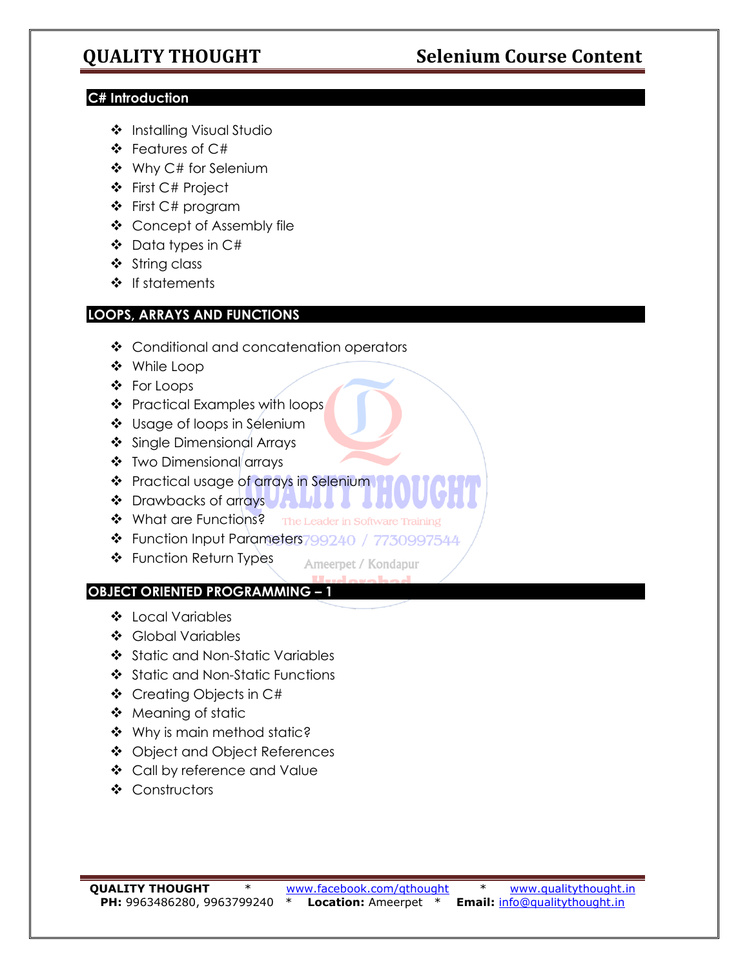# **QUALITY THOUGHT Selenium Course Content**

### **C# Introduction**

- ❖ Installing Visual Studio
- ❖ Features of C#
- ❖ Why C# for Selenium
- ❖ First C# Project
- ❖ First C# program
- ❖ Concept of Assembly file
- ❖ Data types in C#
- ❖ String class
- ❖ If statements

### **LOOPS, ARRAYS AND FUNCTIONS**

- ❖ Conditional and concatenation operators
- ❖ While Loop
- ❖ For Loops
- ❖ Practical Examples with loops
- ❖ Usage of loops in Selenium
- ❖ Single Dimensional Arrays
- ❖ Two Dimensional arrays
- ❖ Practical usage of arrays in Selenium
- ❖ Drawbacks of arrays **UANA**
- ❖ What are Functions? The Leader in Software Training
- ◆ Function Input Parameters799240 / 7730997544
- ❖ Function Return Types

Ameerpet / Kondapur

### **OBJECT ORIENTED PROGRAMMING – 1**

- ❖ Local Variables
- ❖ Global Variables
- ❖ Static and Non-Static Variables
- ❖ Static and Non-Static Functions
- ❖ Creating Objects in C#
- ❖ Meaning of static
- ❖ Why is main method static?
- ❖ Object and Object References
- ❖ Call by reference and Value
- ❖ Constructors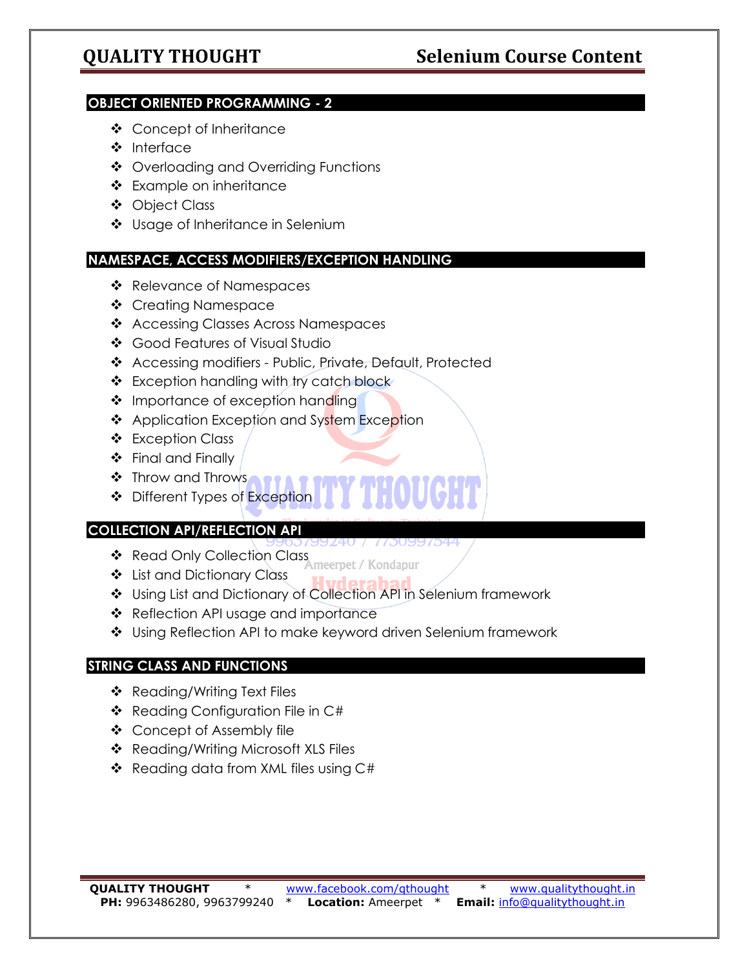### **OBJECT ORIENTED PROGRAMMING - 2**

- ❖ Concept of Inheritance
- ❖ Interface
- ❖ Overloading and Overriding Functions
- ❖ Example on inheritance
- ❖ Object Class
- ❖ Usage of Inheritance in Selenium

### **NAMESPACE, ACCESS MODIFIERS/EXCEPTION HANDLING**

- ❖ Relevance of Namespaces
- ❖ Creating Namespace
- ❖ Accessing Classes Across Namespaces
- ❖ Good Features of Visual Studio
- ❖ Accessing modifiers Public, Private, Default, Protected
- ❖ Exception handling with try catch block
- ❖ Importance of exception handling
- ❖ Application Exception and System Exception
- ❖ Exception Class
- ❖ Final and Finally
- ❖ Throw and Throws
- ❖ Different Types of Exception

### **COLLECTION API/REFLECTION API**

- ❖ Read Only Collection Class Ameerpet / Kondapur
- ❖ List and Dictionary Class
- ❖ Using List and Dictionary of Collection API in Selenium framework
- ❖ Reflection API usage and importance
- ❖ Using Reflection API to make keyword driven Selenium framework

### **STRING CLASS AND FUNCTIONS**

- ❖ Reading/Writing Text Files
- ❖ Reading Configuration File in C#
- ❖ Concept of Assembly file
- ❖ Reading/Writing Microsoft XLS Files
- ❖ Reading data from XML files using C#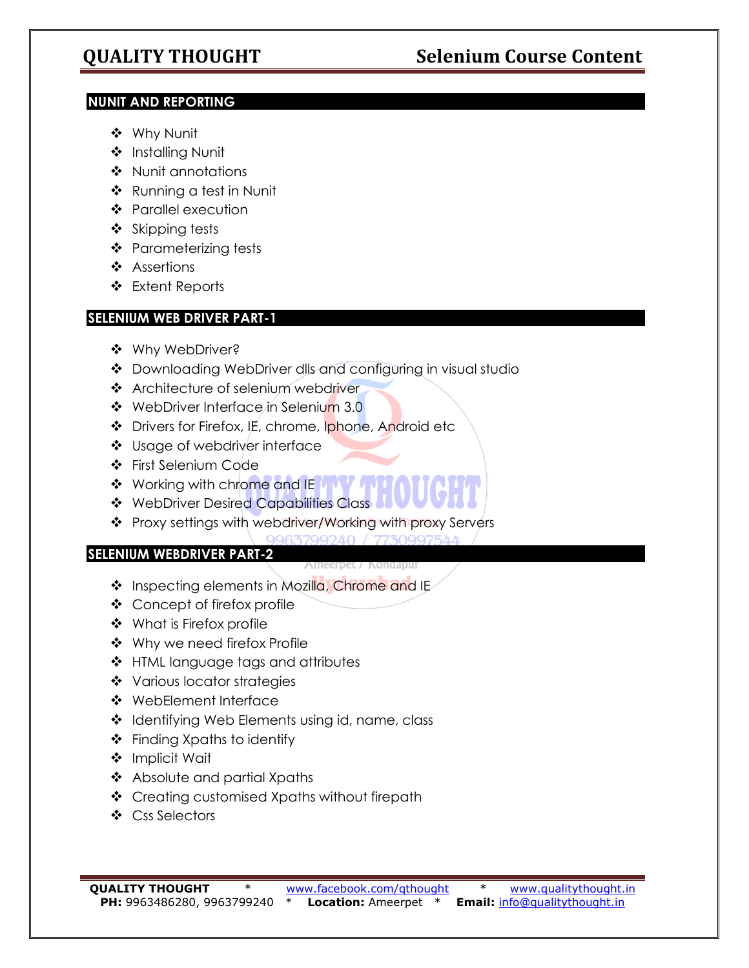### **NUNIT AND REPORTING**

- ❖ Why Nunit
- ❖ Installing Nunit
- ❖ Nunit annotations
- ❖ Running a test in Nunit
- ❖ Parallel execution
- ❖ Skipping tests
- ❖ Parameterizing tests
- ❖ Assertions
- ❖ Extent Reports

# **SELENIUM WEB DRIVER PART-1**

- ❖ Why WebDriver?
- ❖ Downloading WebDriver dlls and configuring in visual studio
- ❖ Architecture of selenium webdriver
- ❖ WebDriver Interface in Selenium 3.0
- ❖ Drivers for Firefox, IE, chrome, Iphone, Android etc
- ❖ Usage of webdriver interface
- ❖ First Selenium Code
- ❖ Working with chrome and IE A V
- ❖ WebDriver Desired Capabilities Class
- ❖ Proxy settings with webdriver/Working with proxy Servers
	- 063700010 / 773000751

## **SELENIUM WEBDRIVER PART-2**

- ❖ Inspecting elements in Mozilla, Chrome and IE
- ❖ Concept of firefox profile
- ❖ What is Firefox profile
- ❖ Why we need firefox Profile
- ❖ HTML language tags and attributes
- ❖ Various locator strategies
- ❖ WebElement Interface
- ❖ Identifying Web Elements using id, name, class
- ❖ Finding Xpaths to identify
- ❖ Implicit Wait
- ❖ Absolute and partial Xpaths
- ❖ Creating customised Xpaths without firepath
- ❖ Css Selectors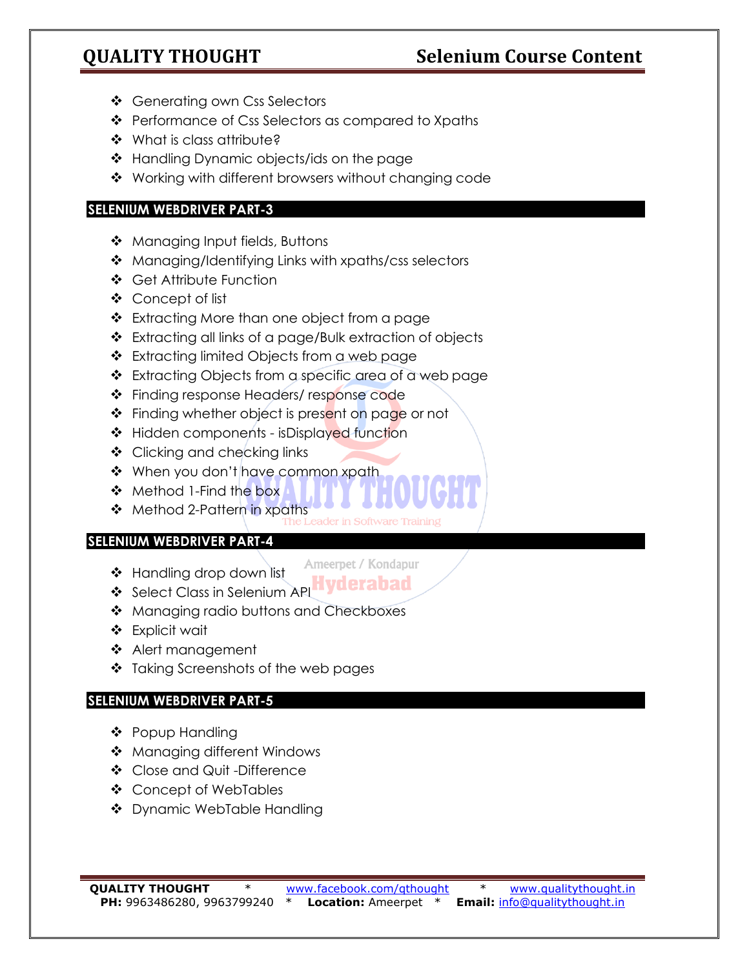# **QUALITY THOUGHT Selenium Course Content**

- ❖ Generating own Css Selectors
- ❖ Performance of Css Selectors as compared to Xpaths
- ❖ What is class attribute?
- ❖ Handling Dynamic objects/ids on the page
- ❖ Working with different browsers without changing code

### **SELENIUM WEBDRIVER PART-3**

- ❖ Managing Input fields, Buttons
- ❖ Managing/Identifying Links with xpaths/css selectors
- ❖ Get Attribute Function
- ❖ Concept of list
- ❖ Extracting More than one object from a page
- ❖ Extracting all links of a page/Bulk extraction of objects
- ❖ Extracting limited Objects from a web page
- ❖ Extracting Objects from a specific area of a web page
- ❖ Finding response Headers/ response code
- ❖ Finding whether object is present on page or not
- ❖ Hidden components isDisplayed function
- ❖ Clicking and checking links
- ❖ When you don't have common xpath
- ❖ Method 1-Find the box
- ❖ Method 2-Pattern in xpaths<br>The Leader in Software Trainin

### **SELENIUM WEBDRIVER PART-4**

- ❖ Handling drop down list
- Ameerpet / Kondapur
- ❖ Select Class in Selenium API**Hyderabad**
- ❖ Managing radio buttons and Checkboxes
- ❖ Explicit wait
- ❖ Alert management
- ❖ Taking Screenshots of the web pages

### **SELENIUM WEBDRIVER PART-5**

- ❖ Popup Handling
- ❖ Managing different Windows
- ❖ Close and Quit -Difference
- ❖ Concept of WebTables
- ❖ Dynamic WebTable Handling